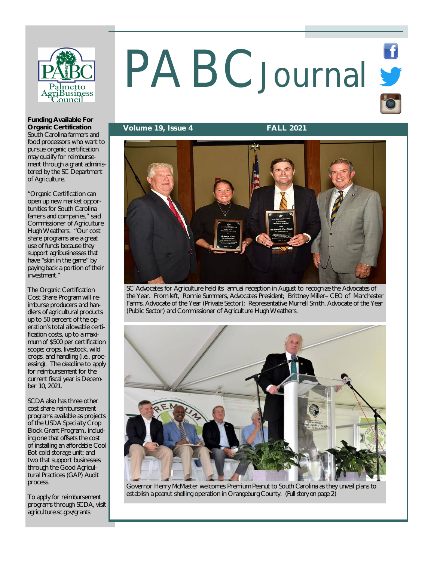

# PABCJournal S

**Volume 19, Issue 4 FALL 2021**



SC Advocates for Agriculture held its annual reception in August to recognize the Advocates of the Year. From left, Ronnie Summers, Advocates President; Brittney Miller– CEO of Manchester Farms, Advocate of the Year (Private Sector); Representative Murrell Smith, Advocate of the Year (Public Sector) and Commissioner of Agriculture Hugh Weathers.



Governor Henry McMaster welcomes Premium Peanut to South Carolina as they unveil plans to establish a peanut shelling operation in Orangeburg County. *(Full story on page 2)*

**Funding Available For Organic Certification**

South Carolina farmers and food processors who want to pursue organic certification may qualify for reimbursement through a grant administered by the SC Department of Agriculture.

"Organic Certification can open up new market opportunities for South Carolina famers and companies," said Commissioner of Agriculture Hugh Weathers. "Our cost share programs are a great use of funds because they support agribusinesses that have "skin in the game" by paying back a portion of their investment."

The Organic Certification Cost Share Program will reimburse producers and handlers of agricultural products up to 50 percent of the operation's total allowable certification costs, up to a maximum of \$500 per certification scope; crops, livestock, wild crops, and handling (i.e., processing). The deadline to apply for reimbursement for the current fiscal year is December 10, 2021.

SCDA also has three other cost share reimbursement programs available as projects of the USDA Specialty Crop Block Grant Program., including one that offsets the cost of installing an affordable Cool Bot cold storage unit; and two that support businesses through the Good Agricultural Practices (GAP) Audit process.

To apply for reimbursement programs through SCDA, visit agriculture.sc.gov/grants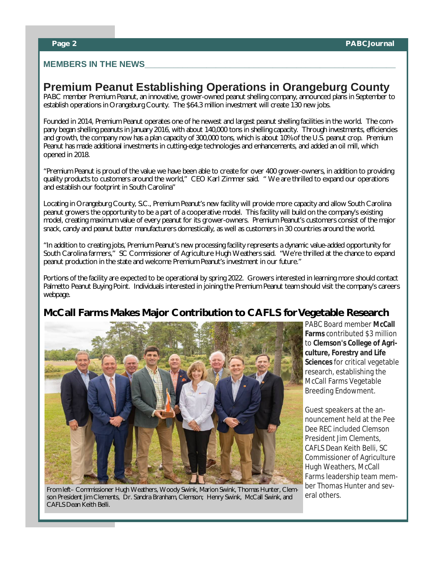#### **MEMBERS IN THE NEWS**

# **Premium Peanut Establishing Operations in Orangeburg County**

PABC member Premium Peanut, an innovative, grower-owned peanut shelling company, announced plans in September to establish operations in Orangeburg County. The \$64.3 million investment will create 130 new jobs.

Founded in 2014, Premium Peanut operates one of he newest and largest peanut shelling facilities in the world. The company began shelling peanuts in January 2016, with about 140,000 tons in shelling capacity. Through investments, efficiencies and growth, the company now has a plan capacity of 300,000 tons, which is about 10% of the U.S. peanut crop. Premium Peanut has made additional investments in cutting-edge technologies and enhancements, and added an oil mill, which opened in 2018.

"Premium Peanut is proud of the value we have been able to create for over 400 grower-owners, in addition to providing quality products to customers around the world," CEO Karl Zimmer said. " We are thrilled to expand our operations and establish our footprint in South Carolina"

Locating in Orangeburg County, S.C., Premium Peanut's new facility will provide more capacity and allow South Carolina peanut growers the opportunity to be a part of a cooperative model. This facility will build on the company's existing model, creating maximum value of every peanut for its grower-owners. Premium Peanut's customers consist of the major snack, candy and peanut butter manufacturers domestically, as well as customers in 30 countries around the world.

"In addition to creating jobs, Premium Peanut's new processing facility represents a dynamic value-added opportunity for South Carolina farmers," SC Commissioner of Agriculture Hugh Weathers said. "We're thrilled at the chance to expand peanut production in the state and welcome Premium Peanut's investment in our future."

Portions of the facility are expected to be operational by spring 2022. Growers interested in learning more should contact Palmetto Peanut Buying Point. Individuals interested in joining the Premium Peanut team should visit the company's careers webpage.

# **McCall Farms Makes Major Contribution to CAFLS for Vegetable Research**



From left– Commissioner Hugh Weathers, Woody Swink, Marion Swink, Thomas Hunter, Clemson President Jim Clements, Dr. Sandra Branham, Clemson; Henry Swink, McCall Swink, and CAFLS Dean Keith Belli.

PABC Board member **McCall Farms** contributed \$3 million to **Clemson's College of Agriculture, Forestry and Life Sciences** for critical vegetable research, establishing the McCall Farms Vegetable Breeding Endowment.

Guest speakers at the announcement held at the Pee Dee REC included Clemson President Jim Clements, CAFLS Dean Keith Belli, SC Commissioner of Agriculture Hugh Weathers, McCall Farms leadership team member Thomas Hunter and several others.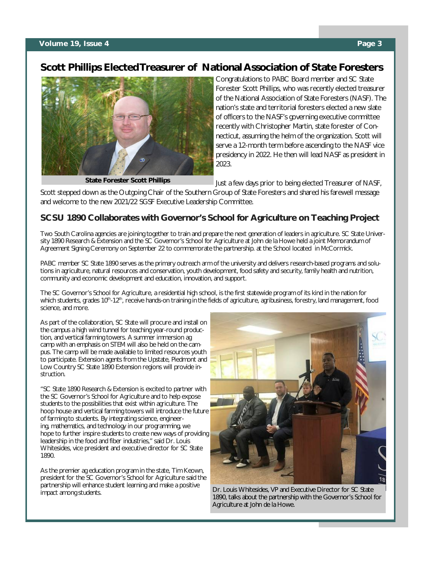# **Scott Phillips Elected Treasurer of National Association of State Foresters**



**State Forester Scott Phillips**

Congratulations to PABC Board member and SC State Forester Scott Phillips, who was recently elected treasurer of the National Association of State Foresters (NASF). The nation's state and territorial foresters elected a new slate of officers to the NASF's governing executive committee recently with Christopher Martin, state forester of Connecticut, assuming the helm of the organization. Scott will serve a 12-month term before ascending to the NASF vice presidency in 2022. He then will lead NASF as president in 2023.

Just a few days prior to being elected Treasurer of NASF,

Scott stepped down as the Outgoing Chair of the Southern Group of State Foresters and shared his farewell message and welcome to the new 2021/22 SGSF Executive Leadership Committee.

### **SCSU 1890 Collaborates with Governor's School for Agriculture on Teaching Project**

Two South Carolina agencies are joining together to train and prepare the next generation of leaders in agriculture. SC State University 1890 Research & Extension and the SC Governor's School for Agriculture at John de la Howe held a joint Memorandum of Agreement Signing Ceremony on September 22 to commemorate the partnership. at the School located in McCormick.

PABC member SC State 1890 serves as the primary outreach arm of the university and delivers research-based programs and solutions in agriculture, natural resources and conservation, youth development, food safety and security, family health and nutrition, community and economic development and education, innovation, and support.

The SC Governor's School for Agriculture, a residential high school, is the first statewide program of its kind in the nation for which students, grades 10<sup>th</sup>-12<sup>th</sup>, receive hands-on training in the fields of agriculture, agribusiness, forestry, land management, food science, and more.

As part of the collaboration, SC State will procure and install on the campus a high wind tunnel for teaching year-round production, and vertical farming towers. A summer immersion ag camp with an emphasis on STEM will also be held on the campus. The camp will be made available to limited resources youth to participate. Extension agents from the Upstate, Piedmont and Low Country SC State 1890 Extension regions will provide instruction.

"SC State 1890 Research & Extension is excited to partner with the SC Governor's School for Agriculture and to help expose students to the possibilities that exist within agriculture. The hoop house and vertical farming towers will introduce the future of farming to students. By integrating science, engineering, mathematics, and technology in our programming, we hope to further inspire students to create new ways of providing leadership in the food and fiber industries," said Dr. Louis Whitesides, vice president and executive director for SC State 1890.

As the premier ag education program in the state, Tim Keown, president for the SC Governor's School for Agriculture said the partnership will enhance student learning and make a positive impact among students.



Dr. Louis Whitesides, VP and Executive Director for SC State 1890, talks about the partnership with the Governor's School for Agriculture at John de la Howe.